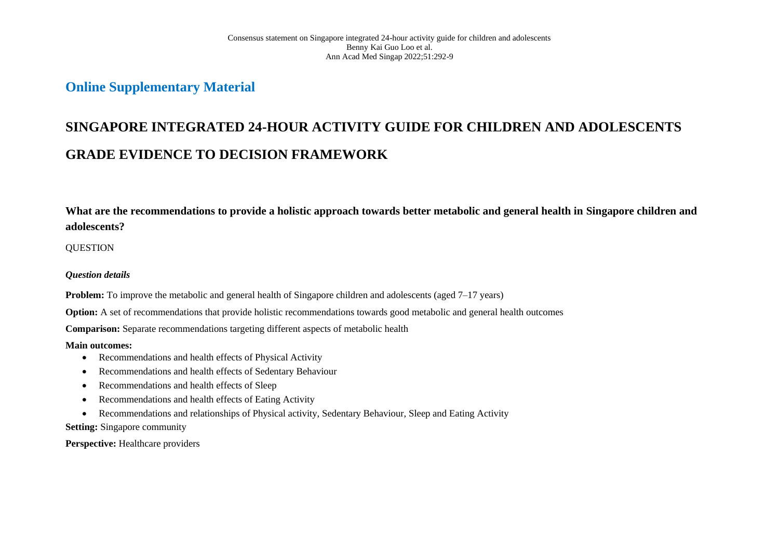## **Online Supplementary Material**

# **SINGAPORE INTEGRATED 24-HOUR ACTIVITY GUIDE FOR CHILDREN AND ADOLESCENTS GRADE EVIDENCE TO DECISION FRAMEWORK**

**What are the recommendations to provide a holistic approach towards better metabolic and general health in Singapore children and adolescents?**

## **OUESTION**

## *Question details*

**Problem:** To improve the metabolic and general health of Singapore children and adolescents (aged 7–17 years)

**Option:** A set of recommendations that provide holistic recommendations towards good metabolic and general health outcomes

**Comparison:** Separate recommendations targeting different aspects of metabolic health

#### **Main outcomes:**

- Recommendations and health effects of Physical Activity
- Recommendations and health effects of Sedentary Behaviour
- Recommendations and health effects of Sleep
- Recommendations and health effects of Eating Activity
- Recommendations and relationships of Physical activity, Sedentary Behaviour, Sleep and Eating Activity

## **Setting:** Singapore community

**Perspective:** Healthcare providers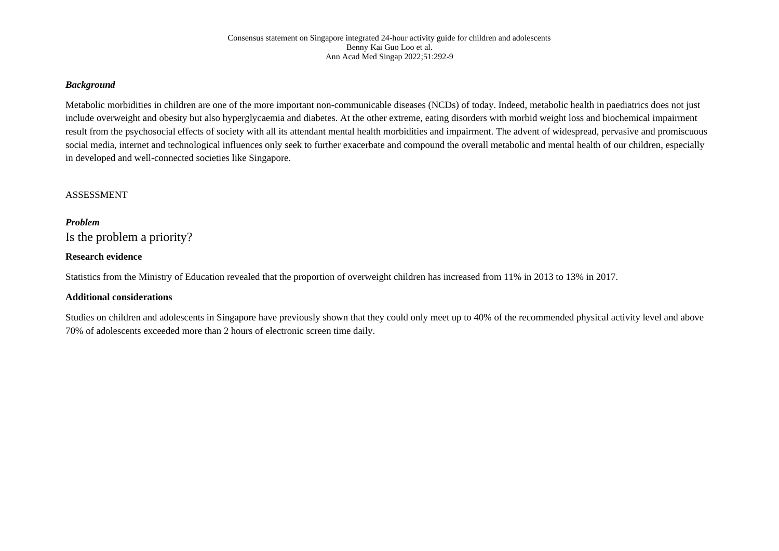### *Background*

Metabolic morbidities in children are one of the more important non-communicable diseases (NCDs) of today. Indeed, metabolic health in paediatrics does not just include overweight and obesity but also hyperglycaemia and diabetes. At the other extreme, eating disorders with morbid weight loss and biochemical impairment result from the psychosocial effects of society with all its attendant mental health morbidities and impairment. The advent of widespread, pervasive and promiscuous social media, internet and technological influences only seek to further exacerbate and compound the overall metabolic and mental health of our children, especially in developed and well-connected societies like Singapore.

#### ASSESSMENT

#### *Problem*

Is the problem a priority?

### **Research evidence**

Statistics from the Ministry of Education revealed that the proportion of overweight children has increased from 11% in 2013 to 13% in 2017.

#### **Additional considerations**

Studies on children and adolescents in Singapore have previously shown that they could only meet up to 40% of the recommended physical activity level and above 70% of adolescents exceeded more than 2 hours of electronic screen time daily.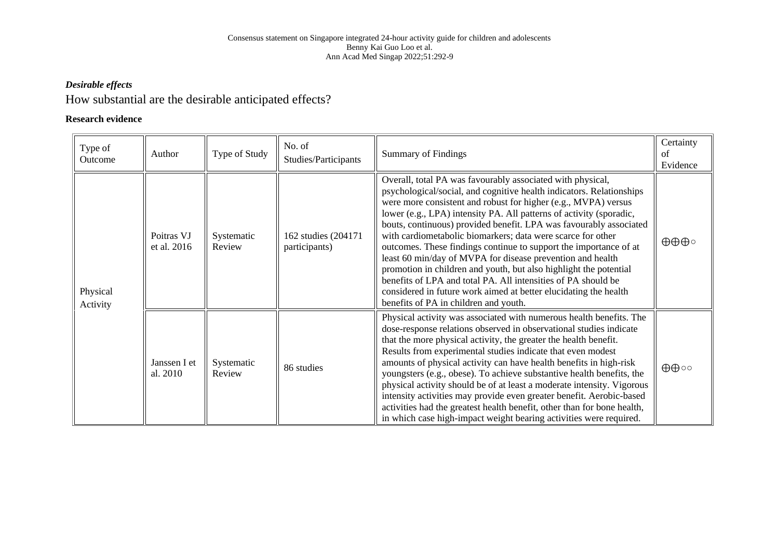## *Desirable effects*

## How substantial are the desirable anticipated effects?

## **Research evidence**

| Type of<br>Outcome   | Author                    | Type of Study        | No. of<br>Studies/Participants        | <b>Summary of Findings</b>                                                                                                                                                                                                                                                                                                                                                                                                                                                                                                                                                                                                                                                                                                                                                                             | Certainty<br>of<br>Evidence  |
|----------------------|---------------------------|----------------------|---------------------------------------|--------------------------------------------------------------------------------------------------------------------------------------------------------------------------------------------------------------------------------------------------------------------------------------------------------------------------------------------------------------------------------------------------------------------------------------------------------------------------------------------------------------------------------------------------------------------------------------------------------------------------------------------------------------------------------------------------------------------------------------------------------------------------------------------------------|------------------------------|
| Physical<br>Activity | Poitras VJ<br>et al. 2016 | Systematic<br>Review | 162 studies (204171)<br>participants) | Overall, total PA was favourably associated with physical,<br>psychological/social, and cognitive health indicators. Relationships<br>were more consistent and robust for higher (e.g., MVPA) versus<br>lower (e.g., LPA) intensity PA. All patterns of activity (sporadic,<br>bouts, continuous) provided benefit. LPA was favourably associated<br>with cardiometabolic biomarkers; data were scarce for other<br>outcomes. These findings continue to support the importance of at<br>least 60 min/day of MVPA for disease prevention and health<br>promotion in children and youth, but also highlight the potential<br>benefits of LPA and total PA. All intensities of PA should be<br>considered in future work aimed at better elucidating the health<br>benefits of PA in children and youth. | $\oplus \oplus \oplus \circ$ |
|                      | Janssen I et<br>al. 2010  | Systematic<br>Review | 86 studies                            | Physical activity was associated with numerous health benefits. The<br>dose-response relations observed in observational studies indicate<br>that the more physical activity, the greater the health benefit.<br>Results from experimental studies indicate that even modest<br>amounts of physical activity can have health benefits in high-risk<br>youngsters (e.g., obese). To achieve substantive health benefits, the<br>physical activity should be of at least a moderate intensity. Vigorous<br>intensity activities may provide even greater benefit. Aerobic-based<br>activities had the greatest health benefit, other than for bone health,<br>in which case high-impact weight bearing activities were required.                                                                         | $\oplus \oplus \circ \circ$  |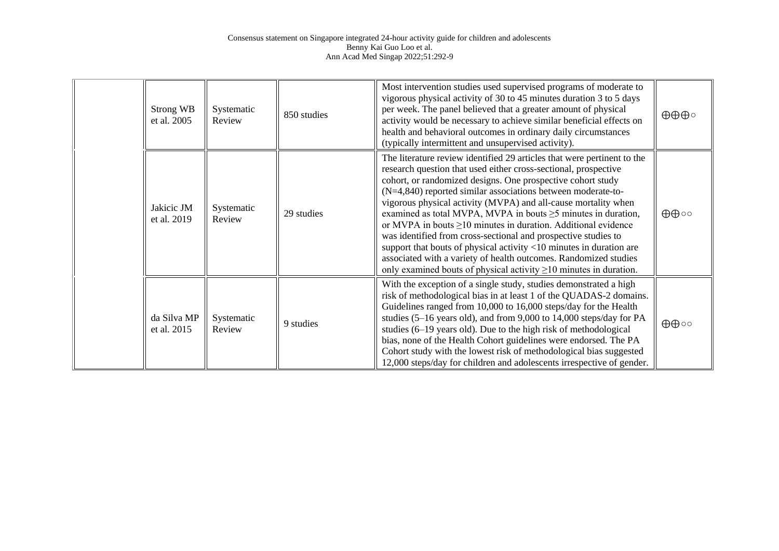| Strong WB<br>et al. 2005   | Systematic<br>Review | 850 studies | Most intervention studies used supervised programs of moderate to<br>vigorous physical activity of 30 to 45 minutes duration 3 to 5 days<br>per week. The panel believed that a greater amount of physical<br>activity would be necessary to achieve similar beneficial effects on<br>health and behavioral outcomes in ordinary daily circumstances<br>(typically intermittent and unsupervised activity).                                                                                                                                                                                                                                                                                                                                                                       | $\oplus \oplus \oplus \circ$ |
|----------------------------|----------------------|-------------|-----------------------------------------------------------------------------------------------------------------------------------------------------------------------------------------------------------------------------------------------------------------------------------------------------------------------------------------------------------------------------------------------------------------------------------------------------------------------------------------------------------------------------------------------------------------------------------------------------------------------------------------------------------------------------------------------------------------------------------------------------------------------------------|------------------------------|
| Jakicic JM<br>et al. 2019  | Systematic<br>Review | 29 studies  | The literature review identified 29 articles that were pertinent to the<br>research question that used either cross-sectional, prospective<br>cohort, or randomized designs. One prospective cohort study<br>(N=4,840) reported similar associations between moderate-to-<br>vigorous physical activity (MVPA) and all-cause mortality when<br>examined as total MVPA, MVPA in bouts $\geq$ 5 minutes in duration,<br>or MVPA in bouts $\geq$ 10 minutes in duration. Additional evidence<br>was identified from cross-sectional and prospective studies to<br>support that bouts of physical activity <10 minutes in duration are<br>associated with a variety of health outcomes. Randomized studies<br>only examined bouts of physical activity $\geq 10$ minutes in duration. | $\oplus \oplus \circ \circ$  |
| da Silva MP<br>et al. 2015 | Systematic<br>Review | 9 studies   | With the exception of a single study, studies demonstrated a high<br>risk of methodological bias in at least 1 of the QUADAS-2 domains.<br>Guidelines ranged from 10,000 to 16,000 steps/day for the Health<br>studies (5-16 years old), and from 9,000 to 14,000 steps/day for PA<br>studies (6–19 years old). Due to the high risk of methodological<br>bias, none of the Health Cohort guidelines were endorsed. The PA<br>Cohort study with the lowest risk of methodological bias suggested<br>12,000 steps/day for children and adolescents irrespective of gender.                                                                                                                                                                                                         | ⊕⊕⊙                          |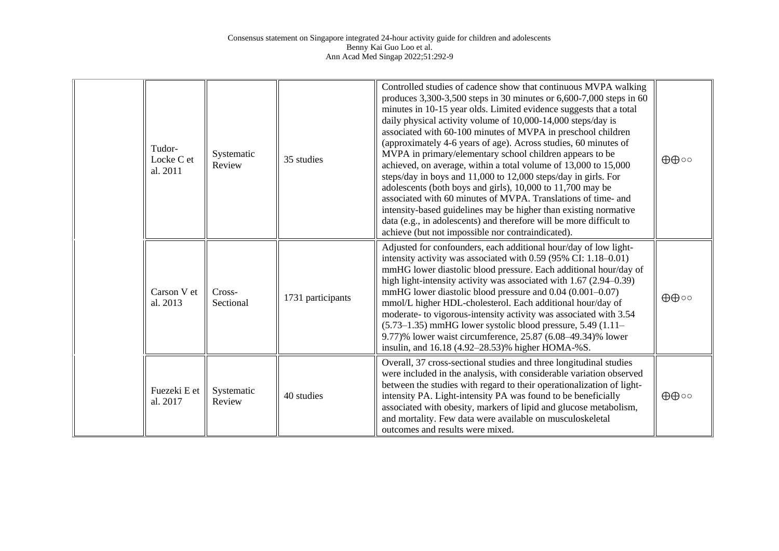| Tudor-<br>Locke C et<br>al. 2011 | Systematic<br>Review | 35 studies        | Controlled studies of cadence show that continuous MVPA walking<br>produces 3,300-3,500 steps in 30 minutes or 6,600-7,000 steps in 60<br>minutes in 10-15 year olds. Limited evidence suggests that a total<br>daily physical activity volume of 10,000-14,000 steps/day is<br>associated with 60-100 minutes of MVPA in preschool children<br>(approximately 4-6 years of age). Across studies, 60 minutes of<br>MVPA in primary/elementary school children appears to be<br>achieved, on average, within a total volume of 13,000 to 15,000<br>steps/day in boys and 11,000 to 12,000 steps/day in girls. For<br>adolescents (both boys and girls), 10,000 to 11,700 may be<br>associated with 60 minutes of MVPA. Translations of time- and<br>intensity-based guidelines may be higher than existing normative<br>data (e.g., in adolescents) and therefore will be more difficult to<br>achieve (but not impossible nor contraindicated). | $\oplus \oplus \circ \circ$ |
|----------------------------------|----------------------|-------------------|-------------------------------------------------------------------------------------------------------------------------------------------------------------------------------------------------------------------------------------------------------------------------------------------------------------------------------------------------------------------------------------------------------------------------------------------------------------------------------------------------------------------------------------------------------------------------------------------------------------------------------------------------------------------------------------------------------------------------------------------------------------------------------------------------------------------------------------------------------------------------------------------------------------------------------------------------|-----------------------------|
| Carson V et<br>al. 2013          | Cross-<br>Sectional  | 1731 participants | Adjusted for confounders, each additional hour/day of low light-<br>intensity activity was associated with 0.59 (95% CI: 1.18-0.01)<br>mmHG lower diastolic blood pressure. Each additional hour/day of<br>high light-intensity activity was associated with 1.67 (2.94–0.39)<br>mmHG lower diastolic blood pressure and 0.04 (0.001-0.07)<br>mmol/L higher HDL-cholesterol. Each additional hour/day of<br>moderate- to vigorous-intensity activity was associated with 3.54<br>$(5.73-1.35)$ mmHG lower systolic blood pressure, 5.49 $(1.11-$<br>9.77)% lower waist circumference, 25.87 (6.08–49.34)% lower<br>insulin, and 16.18 (4.92–28.53)% higher HOMA-%S.                                                                                                                                                                                                                                                                             | $\oplus \oplus \circ \circ$ |
| Fuezeki E et<br>al. 2017         | Systematic<br>Review | 40 studies        | Overall, 37 cross-sectional studies and three longitudinal studies<br>were included in the analysis, with considerable variation observed<br>between the studies with regard to their operationalization of light-<br>intensity PA. Light-intensity PA was found to be beneficially<br>associated with obesity, markers of lipid and glucose metabolism,<br>and mortality. Few data were available on musculoskeletal<br>outcomes and results were mixed.                                                                                                                                                                                                                                                                                                                                                                                                                                                                                       | $\oplus \oplus \circ \circ$ |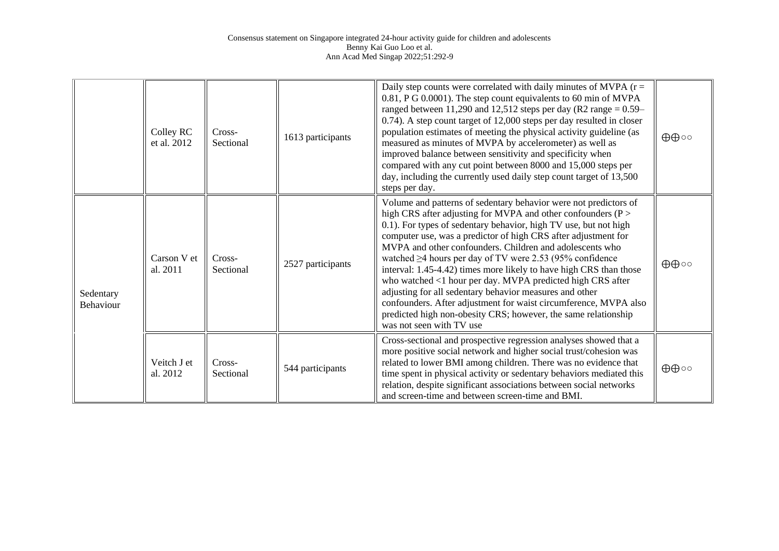|                               | Colley RC<br>et al. 2012 | Cross-<br>Sectional | 1613 participants | Daily step counts were correlated with daily minutes of MVPA $(r =$<br>0.81, P G 0.0001). The step count equivalents to 60 min of MVPA<br>ranged between 11,290 and 12,512 steps per day (R2 range = $0.59-$<br>0.74). A step count target of 12,000 steps per day resulted in closer<br>population estimates of meeting the physical activity guideline (as<br>measured as minutes of MVPA by accelerometer) as well as<br>improved balance between sensitivity and specificity when<br>compared with any cut point between 8000 and 15,000 steps per<br>day, including the currently used daily step count target of 13,500<br>steps per day.                                                                                                                          | $\oplus \oplus \circ \circ$ |
|-------------------------------|--------------------------|---------------------|-------------------|--------------------------------------------------------------------------------------------------------------------------------------------------------------------------------------------------------------------------------------------------------------------------------------------------------------------------------------------------------------------------------------------------------------------------------------------------------------------------------------------------------------------------------------------------------------------------------------------------------------------------------------------------------------------------------------------------------------------------------------------------------------------------|-----------------------------|
| Sedentary<br><b>Behaviour</b> | Carson V et<br>al. 2011  | Cross-<br>Sectional | 2527 participants | Volume and patterns of sedentary behavior were not predictors of<br>high CRS after adjusting for MVPA and other confounders ( $P >$<br>0.1). For types of sedentary behavior, high TV use, but not high<br>computer use, was a predictor of high CRS after adjustment for<br>MVPA and other confounders. Children and adolescents who<br>watched $\geq$ 4 hours per day of TV were 2.53 (95% confidence<br>interval: 1.45-4.42) times more likely to have high CRS than those<br>who watched <1 hour per day. MVPA predicted high CRS after<br>adjusting for all sedentary behavior measures and other<br>confounders. After adjustment for waist circumference, MVPA also<br>predicted high non-obesity CRS; however, the same relationship<br>was not seen with TV use | $\oplus \oplus \circ \circ$ |
|                               | Veitch J et<br>al. 2012  | Cross-<br>Sectional | 544 participants  | Cross-sectional and prospective regression analyses showed that a<br>more positive social network and higher social trust/cohesion was<br>related to lower BMI among children. There was no evidence that<br>time spent in physical activity or sedentary behaviors mediated this<br>relation, despite significant associations between social networks<br>and screen-time and between screen-time and BMI.                                                                                                                                                                                                                                                                                                                                                              | $\oplus \oplus \circ \circ$ |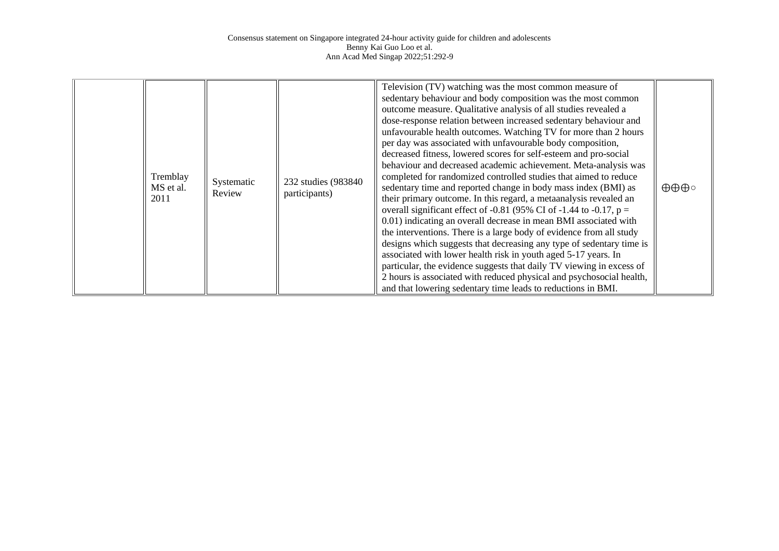|  | Tremblay<br>MS et al.<br>2011 | Systematic<br>Review | 232 studies (983840)<br>participants) | Television (TV) watching was the most common measure of<br>sedentary behaviour and body composition was the most common<br>outcome measure. Qualitative analysis of all studies revealed a<br>dose-response relation between increased sedentary behaviour and<br>unfavourable health outcomes. Watching TV for more than 2 hours<br>per day was associated with unfavourable body composition,<br>decreased fitness, lowered scores for self-esteem and pro-social<br>behaviour and decreased academic achievement. Meta-analysis was<br>completed for randomized controlled studies that aimed to reduce<br>sedentary time and reported change in body mass index (BMI) as<br>their primary outcome. In this regard, a metaanalysis revealed an<br>overall significant effect of -0.81 (95% CI of -1.44 to -0.17, $p =$<br>0.01) indicating an overall decrease in mean BMI associated with<br>the interventions. There is a large body of evidence from all study<br>designs which suggests that decreasing any type of sedentary time is<br>associated with lower health risk in youth aged 5-17 years. In<br>particular, the evidence suggests that daily TV viewing in excess of<br>2 hours is associated with reduced physical and psychosocial health,<br>and that lowering sedentary time leads to reductions in BMI. | $\oplus \oplus \oplus \circ$ |
|--|-------------------------------|----------------------|---------------------------------------|--------------------------------------------------------------------------------------------------------------------------------------------------------------------------------------------------------------------------------------------------------------------------------------------------------------------------------------------------------------------------------------------------------------------------------------------------------------------------------------------------------------------------------------------------------------------------------------------------------------------------------------------------------------------------------------------------------------------------------------------------------------------------------------------------------------------------------------------------------------------------------------------------------------------------------------------------------------------------------------------------------------------------------------------------------------------------------------------------------------------------------------------------------------------------------------------------------------------------------------------------------------------------------------------------------------------------------|------------------------------|
|--|-------------------------------|----------------------|---------------------------------------|--------------------------------------------------------------------------------------------------------------------------------------------------------------------------------------------------------------------------------------------------------------------------------------------------------------------------------------------------------------------------------------------------------------------------------------------------------------------------------------------------------------------------------------------------------------------------------------------------------------------------------------------------------------------------------------------------------------------------------------------------------------------------------------------------------------------------------------------------------------------------------------------------------------------------------------------------------------------------------------------------------------------------------------------------------------------------------------------------------------------------------------------------------------------------------------------------------------------------------------------------------------------------------------------------------------------------------|------------------------------|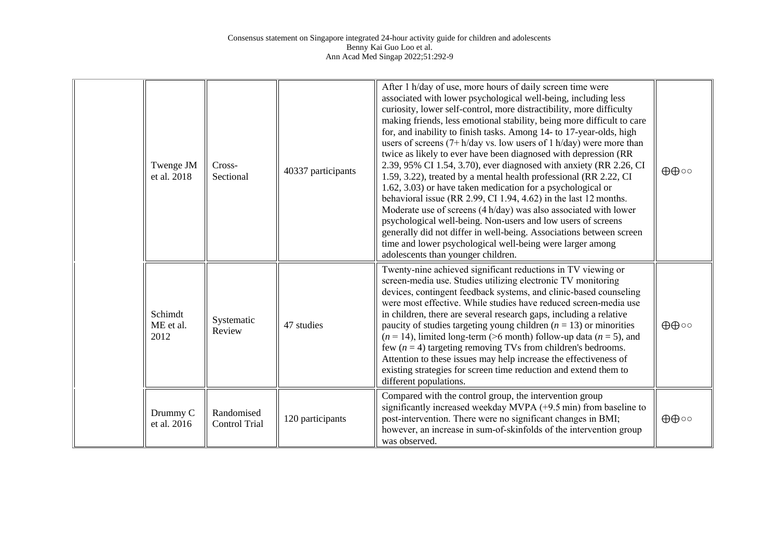| Twenge JM<br>et al. 2018     | Cross-<br>Sectional                | 40337 participants | After 1 h/day of use, more hours of daily screen time were<br>associated with lower psychological well-being, including less<br>curiosity, lower self-control, more distractibility, more difficulty<br>making friends, less emotional stability, being more difficult to care<br>for, and inability to finish tasks. Among 14- to 17-year-olds, high<br>users of screens $(7 + h/day \, vs. \, low \, users \, of \, 1 \, h/day)$ were more than<br>twice as likely to ever have been diagnosed with depression (RR<br>2.39, 95% CI 1.54, 3.70), ever diagnosed with anxiety (RR 2.26, CI<br>1.59, 3.22), treated by a mental health professional (RR 2.22, CI<br>1.62, 3.03) or have taken medication for a psychological or<br>behavioral issue (RR 2.99, CI 1.94, 4.62) in the last 12 months.<br>Moderate use of screens (4 h/day) was also associated with lower<br>psychological well-being. Non-users and low users of screens<br>generally did not differ in well-being. Associations between screen<br>time and lower psychological well-being were larger among<br>adolescents than younger children. | ⊕⊕⊙                         |
|------------------------------|------------------------------------|--------------------|------------------------------------------------------------------------------------------------------------------------------------------------------------------------------------------------------------------------------------------------------------------------------------------------------------------------------------------------------------------------------------------------------------------------------------------------------------------------------------------------------------------------------------------------------------------------------------------------------------------------------------------------------------------------------------------------------------------------------------------------------------------------------------------------------------------------------------------------------------------------------------------------------------------------------------------------------------------------------------------------------------------------------------------------------------------------------------------------------------------|-----------------------------|
| Schimdt<br>ME et al.<br>2012 | Systematic<br>Review               | 47 studies         | Twenty-nine achieved significant reductions in TV viewing or<br>screen-media use. Studies utilizing electronic TV monitoring<br>devices, contingent feedback systems, and clinic-based counseling<br>were most effective. While studies have reduced screen-media use<br>in children, there are several research gaps, including a relative<br>paucity of studies targeting young children ( $n = 13$ ) or minorities<br>$(n = 14)$ , limited long-term (>6 month) follow-up data $(n = 5)$ , and<br>few $(n = 4)$ targeting removing TVs from children's bedrooms.<br>Attention to these issues may help increase the effectiveness of<br>existing strategies for screen time reduction and extend them to<br>different populations.                                                                                                                                                                                                                                                                                                                                                                            | $\oplus \oplus \circ \circ$ |
| Drummy C<br>et al. 2016      | Randomised<br><b>Control Trial</b> | 120 participants   | Compared with the control group, the intervention group<br>significantly increased weekday MVPA (+9.5 min) from baseline to<br>post-intervention. There were no significant changes in BMI;<br>however, an increase in sum-of-skinfolds of the intervention group<br>was observed.                                                                                                                                                                                                                                                                                                                                                                                                                                                                                                                                                                                                                                                                                                                                                                                                                               | ⊕⊕⊙                         |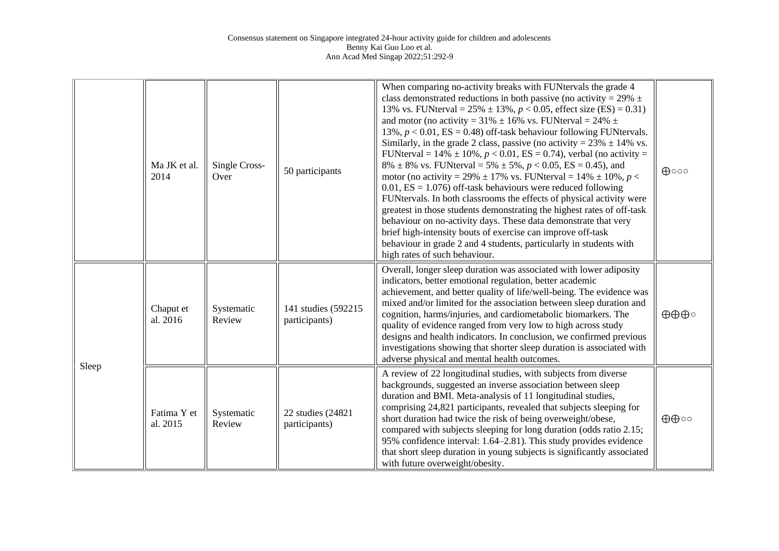|       | Ma JK et al.<br>2014    | Single Cross-<br>Over | 50 participants                       | When comparing no-activity breaks with FUNtervals the grade 4<br>class demonstrated reductions in both passive (no activity = $29\%$ $\pm$<br>13% vs. FUNterval = $25\% \pm 13\%, p < 0.05$ , effect size (ES) = 0.31)<br>and motor (no activity = $31\% \pm 16\%$ vs. FUNterval = $24\% \pm 16\%$<br>13%, $p < 0.01$ , ES = 0.48) off-task behaviour following FUNtervals.<br>Similarly, in the grade 2 class, passive (no activity = $23\% \pm 14\%$ vs.<br>FUNterval = $14\% \pm 10\%, p < 0.01$ , ES = 0.74), verbal (no activity =<br>$8\% \pm 8\%$ vs. FUNterval = 5% $\pm 5\%$ , $p < 0.05$ , ES = 0.45), and<br>motor (no activity = 29% $\pm$ 17% vs. FUNterval = 14% $\pm$ 10%, p <<br>$0.01$ , ES = 1.076) off-task behaviours were reduced following<br>FUNtervals. In both classrooms the effects of physical activity were<br>greatest in those students demonstrating the highest rates of off-task<br>behaviour on no-activity days. These data demonstrate that very<br>brief high-intensity bouts of exercise can improve off-task<br>behaviour in grade 2 and 4 students, particularly in students with<br>high rates of such behaviour. | $\bigoplus$ 000              |
|-------|-------------------------|-----------------------|---------------------------------------|-------------------------------------------------------------------------------------------------------------------------------------------------------------------------------------------------------------------------------------------------------------------------------------------------------------------------------------------------------------------------------------------------------------------------------------------------------------------------------------------------------------------------------------------------------------------------------------------------------------------------------------------------------------------------------------------------------------------------------------------------------------------------------------------------------------------------------------------------------------------------------------------------------------------------------------------------------------------------------------------------------------------------------------------------------------------------------------------------------------------------------------------------------------|------------------------------|
|       | Chaput et<br>al. 2016   | Systematic<br>Review  | 141 studies (592215)<br>participants) | Overall, longer sleep duration was associated with lower adiposity<br>indicators, better emotional regulation, better academic<br>achievement, and better quality of life/well-being. The evidence was<br>mixed and/or limited for the association between sleep duration and<br>cognition, harms/injuries, and cardiometabolic biomarkers. The<br>quality of evidence ranged from very low to high across study<br>designs and health indicators. In conclusion, we confirmed previous<br>investigations showing that shorter sleep duration is associated with<br>adverse physical and mental health outcomes.                                                                                                                                                                                                                                                                                                                                                                                                                                                                                                                                            | $\oplus \oplus \oplus \circ$ |
| Sleep | Fatima Y et<br>al. 2015 | Systematic<br>Review  | 22 studies (24821<br>participants)    | A review of 22 longitudinal studies, with subjects from diverse<br>backgrounds, suggested an inverse association between sleep<br>duration and BMI. Meta-analysis of 11 longitudinal studies,<br>comprising 24,821 participants, revealed that subjects sleeping for<br>short duration had twice the risk of being overweight/obese,<br>compared with subjects sleeping for long duration (odds ratio 2.15;<br>95% confidence interval: 1.64–2.81). This study provides evidence<br>that short sleep duration in young subjects is significantly associated<br>with future overweight/obesity.                                                                                                                                                                                                                                                                                                                                                                                                                                                                                                                                                              | ⊕⊕⊙                          |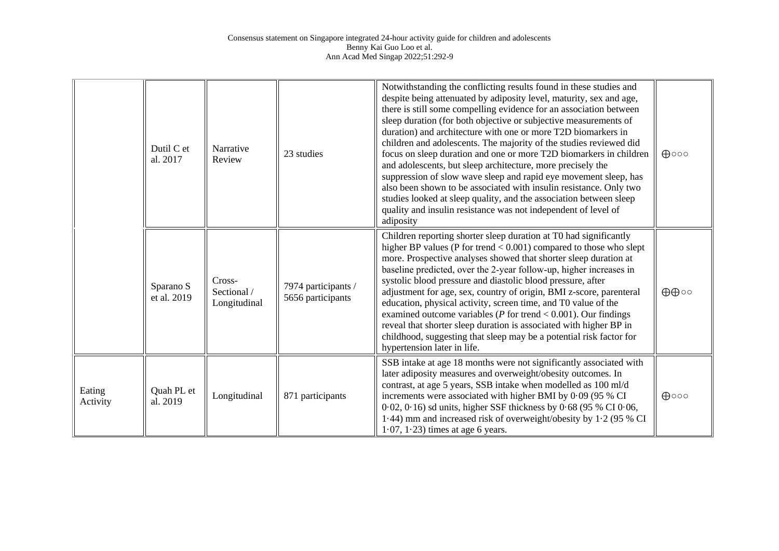|                    | Dutil C et<br>al. 2017   | Narrative<br>Review                   | 23 studies                               | Notwithstanding the conflicting results found in these studies and<br>despite being attenuated by adiposity level, maturity, sex and age,<br>there is still some compelling evidence for an association between<br>sleep duration (for both objective or subjective measurements of<br>duration) and architecture with one or more T2D biomarkers in<br>children and adolescents. The majority of the studies reviewed did<br>focus on sleep duration and one or more T2D biomarkers in children<br>and adolescents, but sleep architecture, more precisely the<br>suppression of slow wave sleep and rapid eye movement sleep, has<br>also been shown to be associated with insulin resistance. Only two<br>studies looked at sleep quality, and the association between sleep<br>quality and insulin resistance was not independent of level of<br>adiposity | $\bigoplus$ 000 |
|--------------------|--------------------------|---------------------------------------|------------------------------------------|----------------------------------------------------------------------------------------------------------------------------------------------------------------------------------------------------------------------------------------------------------------------------------------------------------------------------------------------------------------------------------------------------------------------------------------------------------------------------------------------------------------------------------------------------------------------------------------------------------------------------------------------------------------------------------------------------------------------------------------------------------------------------------------------------------------------------------------------------------------|-----------------|
|                    | Sparano S<br>et al. 2019 | Cross-<br>Sectional /<br>Longitudinal | 7974 participants /<br>5656 participants | Children reporting shorter sleep duration at T0 had significantly<br>higher BP values (P for trend < 0.001) compared to those who slept<br>more. Prospective analyses showed that shorter sleep duration at<br>baseline predicted, over the 2-year follow-up, higher increases in<br>systolic blood pressure and diastolic blood pressure, after<br>adjustment for age, sex, country of origin, BMI z-score, parenteral<br>education, physical activity, screen time, and T0 value of the<br>examined outcome variables ( $P$ for trend < 0.001). Our findings<br>reveal that shorter sleep duration is associated with higher BP in<br>childhood, suggesting that sleep may be a potential risk factor for<br>hypertension later in life.                                                                                                                     | ⊕⊕⊙             |
| Eating<br>Activity | Quah PL et<br>al. 2019   | Longitudinal                          | 871 participants                         | SSB intake at age 18 months were not significantly associated with<br>later adiposity measures and overweight/obesity outcomes. In<br>contrast, at age 5 years, SSB intake when modelled as 100 ml/d<br>increments were associated with higher BMI by 0.09 (95 % CI<br>$0.02$ , $0.16$ ) sd units, higher SSF thickness by $0.68$ (95 % CI $0.06$ ,<br>1.44) mm and increased risk of overweight/obesity by $1.2$ (95 % CI<br>$1.07$ , $1.23$ ) times at age 6 years.                                                                                                                                                                                                                                                                                                                                                                                          | $\bigoplus$ 000 |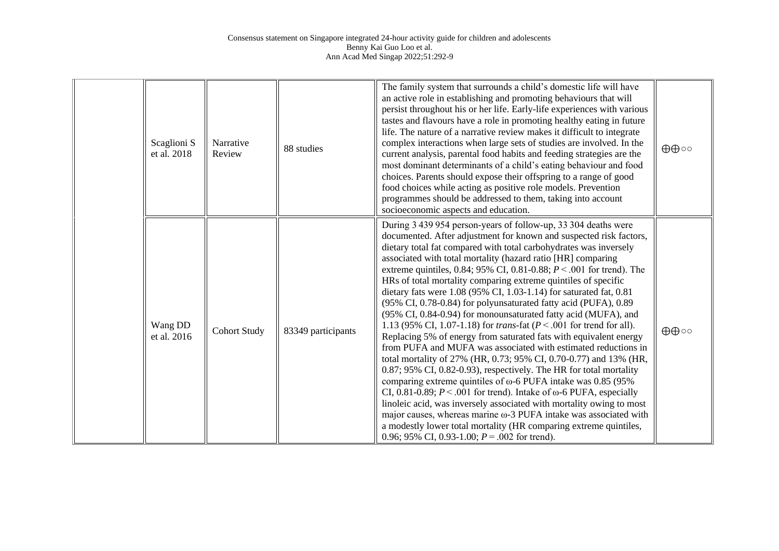| Scaglioni S<br>et al. 2018 | Narrative<br>Review | 88 studies         | The family system that surrounds a child's domestic life will have<br>an active role in establishing and promoting behaviours that will<br>persist throughout his or her life. Early-life experiences with various<br>tastes and flavours have a role in promoting healthy eating in future<br>life. The nature of a narrative review makes it difficult to integrate<br>complex interactions when large sets of studies are involved. In the<br>current analysis, parental food habits and feeding strategies are the<br>most dominant determinants of a child's eating behaviour and food<br>choices. Parents should expose their offspring to a range of good<br>food choices while acting as positive role models. Prevention<br>programmes should be addressed to them, taking into account<br>socioeconomic aspects and education.                                                                                                                                                                                                                                                                                                                                                                                                                                                                                                                                                                                                     | ⊕⊕⊙                         |
|----------------------------|---------------------|--------------------|----------------------------------------------------------------------------------------------------------------------------------------------------------------------------------------------------------------------------------------------------------------------------------------------------------------------------------------------------------------------------------------------------------------------------------------------------------------------------------------------------------------------------------------------------------------------------------------------------------------------------------------------------------------------------------------------------------------------------------------------------------------------------------------------------------------------------------------------------------------------------------------------------------------------------------------------------------------------------------------------------------------------------------------------------------------------------------------------------------------------------------------------------------------------------------------------------------------------------------------------------------------------------------------------------------------------------------------------------------------------------------------------------------------------------------------------|-----------------------------|
| Wang DD<br>et al. 2016     | <b>Cohort Study</b> | 83349 participants | During 3 439 954 person-years of follow-up, 33 304 deaths were<br>documented. After adjustment for known and suspected risk factors,<br>dietary total fat compared with total carbohydrates was inversely<br>associated with total mortality (hazard ratio [HR] comparing<br>extreme quintiles, 0.84; 95% CI, 0.81-0.88; $P < .001$ for trend). The<br>HRs of total mortality comparing extreme quintiles of specific<br>dietary fats were 1.08 (95% CI, 1.03-1.14) for saturated fat, 0.81<br>(95% CI, 0.78-0.84) for polyunsaturated fatty acid (PUFA), 0.89<br>(95% CI, 0.84-0.94) for monounsaturated fatty acid (MUFA), and<br>1.13 (95% CI, 1.07-1.18) for <i>trans</i> -fat ( $P < .001$ for trend for all).<br>Replacing 5% of energy from saturated fats with equivalent energy<br>from PUFA and MUFA was associated with estimated reductions in<br>total mortality of 27% (HR, 0.73; 95% CI, 0.70-0.77) and 13% (HR,<br>$0.87;$ 95% CI, 0.82-0.93), respectively. The HR for total mortality<br>comparing extreme quintiles of $\omega$ -6 PUFA intake was 0.85 (95%)<br>CI, 0.81-0.89; $P < .001$ for trend). Intake of $\omega$ -6 PUFA, especially<br>linoleic acid, was inversely associated with mortality owing to most<br>major causes, whereas marine $\omega$ -3 PUFA intake was associated with<br>a modestly lower total mortality (HR comparing extreme quintiles,<br>0.96; 95% CI, 0.93-1.00; $P = .002$ for trend). | $\oplus \oplus \circ \circ$ |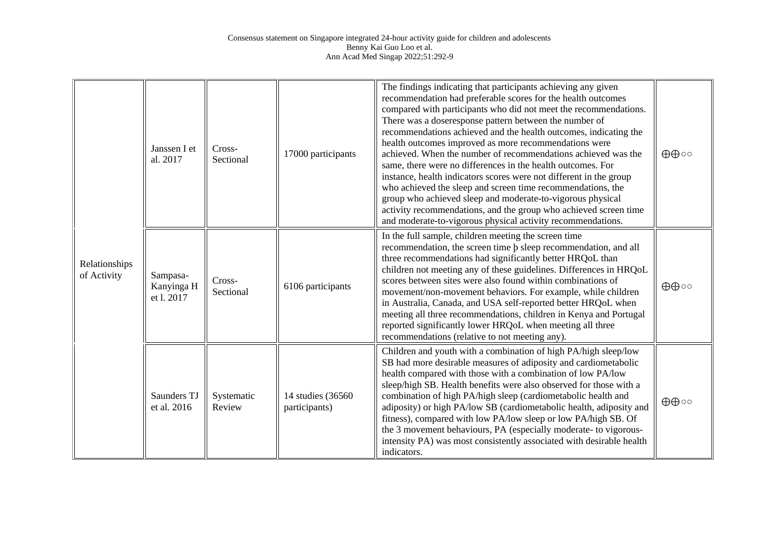| Relationships<br>of Activity | Janssen I et<br>al. 2017            | Cross-<br>Sectional  | 17000 participants                  | The findings indicating that participants achieving any given<br>recommendation had preferable scores for the health outcomes<br>compared with participants who did not meet the recommendations.<br>There was a doseresponse pattern between the number of<br>recommendations achieved and the health outcomes, indicating the<br>health outcomes improved as more recommendations were<br>achieved. When the number of recommendations achieved was the<br>same, there were no differences in the health outcomes. For<br>instance, health indicators scores were not different in the group<br>who achieved the sleep and screen time recommendations, the<br>group who achieved sleep and moderate-to-vigorous physical<br>activity recommendations, and the group who achieved screen time<br>and moderate-to-vigorous physical activity recommendations. | ⊕⊕⊙                         |
|------------------------------|-------------------------------------|----------------------|-------------------------------------|----------------------------------------------------------------------------------------------------------------------------------------------------------------------------------------------------------------------------------------------------------------------------------------------------------------------------------------------------------------------------------------------------------------------------------------------------------------------------------------------------------------------------------------------------------------------------------------------------------------------------------------------------------------------------------------------------------------------------------------------------------------------------------------------------------------------------------------------------------------|-----------------------------|
|                              | Sampasa-<br>Kanyinga H<br>et 1.2017 | Cross-<br>Sectional  | 6106 participants                   | In the full sample, children meeting the screen time<br>recommendation, the screen time $\beta$ sleep recommendation, and all<br>three recommendations had significantly better HRQoL than<br>children not meeting any of these guidelines. Differences in HRQoL<br>scores between sites were also found within combinations of<br>movement/non-movement behaviors. For example, while children<br>in Australia, Canada, and USA self-reported better HRQoL when<br>meeting all three recommendations, children in Kenya and Portugal<br>reported significantly lower HRQoL when meeting all three<br>recommendations (relative to not meeting any).                                                                                                                                                                                                           | ⊕⊕⊙                         |
|                              | Saunders TJ<br>et al. 2016          | Systematic<br>Review | 14 studies (36560)<br>participants) | Children and youth with a combination of high PA/high sleep/low<br>SB had more desirable measures of adiposity and cardiometabolic<br>health compared with those with a combination of low PA/low<br>sleep/high SB. Health benefits were also observed for those with a<br>combination of high PA/high sleep (cardiometabolic health and<br>adiposity) or high PA/low SB (cardiometabolic health, adiposity and<br>fitness), compared with low PA/low sleep or low PA/high SB. Of<br>the 3 movement behaviours, PA (especially moderate- to vigorous-<br>intensity PA) was most consistently associated with desirable health<br>indicators.                                                                                                                                                                                                                   | $\oplus \oplus \circ \circ$ |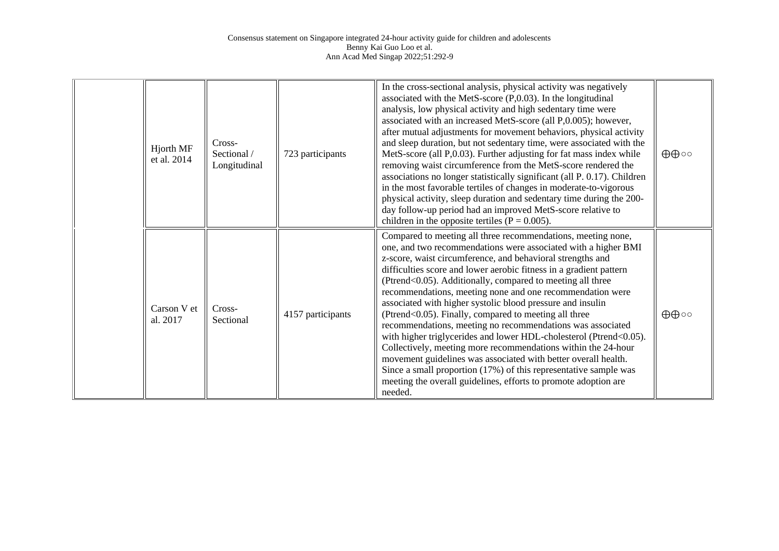| Hjorth MF<br>et al. 2014 | Cross-<br>Sectional /<br>Longitudinal | 723 participants  | In the cross-sectional analysis, physical activity was negatively<br>associated with the MetS-score $(P, 0.03)$ . In the longitudinal<br>analysis, low physical activity and high sedentary time were<br>associated with an increased MetS-score (all P,0.005); however,<br>after mutual adjustments for movement behaviors, physical activity<br>and sleep duration, but not sedentary time, were associated with the<br>MetS-score (all P,0.03). Further adjusting for fat mass index while<br>removing waist circumference from the MetS-score rendered the<br>associations no longer statistically significant (all P. 0.17). Children<br>in the most favorable tertiles of changes in moderate-to-vigorous<br>physical activity, sleep duration and sedentary time during the 200-<br>day follow-up period had an improved MetS-score relative to<br>children in the opposite tertiles ( $P = 0.005$ ).                                  | $\oplus \oplus \circ \circ$ |
|--------------------------|---------------------------------------|-------------------|-----------------------------------------------------------------------------------------------------------------------------------------------------------------------------------------------------------------------------------------------------------------------------------------------------------------------------------------------------------------------------------------------------------------------------------------------------------------------------------------------------------------------------------------------------------------------------------------------------------------------------------------------------------------------------------------------------------------------------------------------------------------------------------------------------------------------------------------------------------------------------------------------------------------------------------------------|-----------------------------|
| Carson V et<br>al. 2017  | Cross-<br>Sectional                   | 4157 participants | Compared to meeting all three recommendations, meeting none,<br>one, and two recommendations were associated with a higher BMI<br>z-score, waist circumference, and behavioral strengths and<br>difficulties score and lower aerobic fitness in a gradient pattern<br>(Ptrend<0.05). Additionally, compared to meeting all three<br>recommendations, meeting none and one recommendation were<br>associated with higher systolic blood pressure and insulin<br>(Ptrend<0.05). Finally, compared to meeting all three<br>recommendations, meeting no recommendations was associated<br>with higher triglycerides and lower HDL-cholesterol (Ptrend<0.05).<br>Collectively, meeting more recommendations within the 24-hour<br>movement guidelines was associated with better overall health.<br>Since a small proportion (17%) of this representative sample was<br>meeting the overall guidelines, efforts to promote adoption are<br>needed. | $\oplus \oplus \circ \circ$ |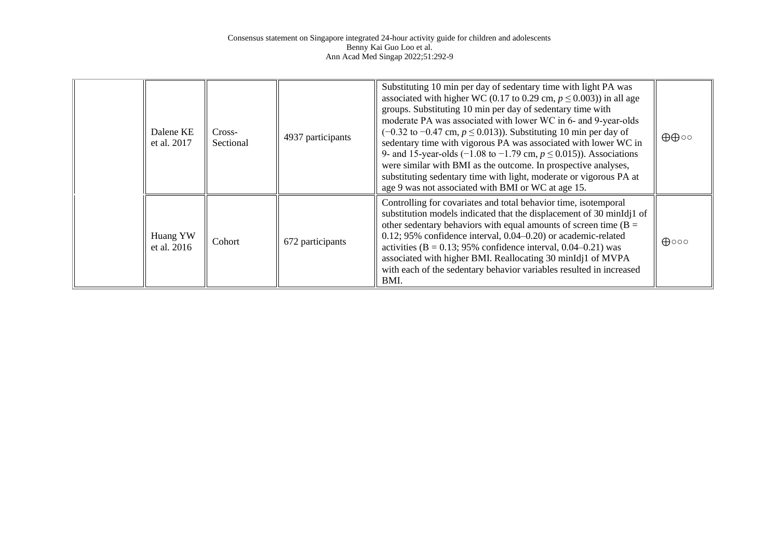| Dalene KE<br>et al. 2017  | Cross-<br>Sectional | 4937 participants | Substituting 10 min per day of sedentary time with light PA was<br>associated with higher WC (0.17 to 0.29 cm, $p \le 0.003$ ) in all age<br>groups. Substituting 10 min per day of sedentary time with<br>moderate PA was associated with lower WC in 6- and 9-year-olds<br>$(-0.32$ to $-0.47$ cm, $p \le 0.013$ ). Substituting 10 min per day of<br>sedentary time with vigorous PA was associated with lower WC in<br>9- and 15-year-olds (-1.08 to -1.79 cm, $p \le 0.015$ )). Associations<br>were similar with BMI as the outcome. In prospective analyses,<br>substituting sedentary time with light, moderate or vigorous PA at<br>age 9 was not associated with BMI or WC at age 15. | $\oplus \oplus \circ \circ$ |
|---------------------------|---------------------|-------------------|-------------------------------------------------------------------------------------------------------------------------------------------------------------------------------------------------------------------------------------------------------------------------------------------------------------------------------------------------------------------------------------------------------------------------------------------------------------------------------------------------------------------------------------------------------------------------------------------------------------------------------------------------------------------------------------------------|-----------------------------|
| Huang YW<br>et al. $2016$ | Cohort              | 672 participants  | Controlling for covariates and total behavior time, isotemporal<br>substitution models indicated that the displacement of 30 minIdj1 of<br>other sedentary behaviors with equal amounts of screen time ( $B =$<br>$0.12$ ; 95% confidence interval, $0.04 - 0.20$ or academic-related<br>activities ( $B = 0.13$ ; 95% confidence interval, 0.04–0.21) was<br>associated with higher BMI. Reallocating 30 minIdj1 of MVPA<br>with each of the sedentary behavior variables resulted in increased<br>BMI.                                                                                                                                                                                        | $\bigoplus$ 000             |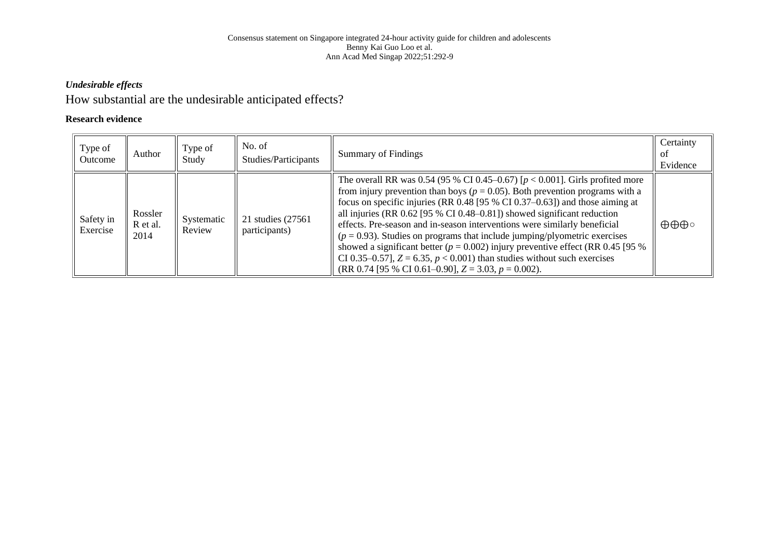## *Undesirable effects*

## How substantial are the undesirable anticipated effects?

## **Research evidence**

| Type of<br>Outcome    | Author                      | Type of<br>Study     | No. of<br>Studies/Participants      | <b>Summary of Findings</b>                                                                                                                                                                                                                                                                                                                                                                                                                                                                                                                                                                                                                                                                                                             | Certainty<br>Οİ<br>Evidence  |
|-----------------------|-----------------------------|----------------------|-------------------------------------|----------------------------------------------------------------------------------------------------------------------------------------------------------------------------------------------------------------------------------------------------------------------------------------------------------------------------------------------------------------------------------------------------------------------------------------------------------------------------------------------------------------------------------------------------------------------------------------------------------------------------------------------------------------------------------------------------------------------------------------|------------------------------|
| Safety in<br>Exercise | Rossler<br>R et al.<br>2014 | Systematic<br>Review | 21 studies (27561)<br>participants) | The overall RR was 0.54 (95 % CI 0.45–0.67) [ $p < 0.001$ ]. Girls profited more<br>from injury prevention than boys ( $p = 0.05$ ). Both prevention programs with a<br>focus on specific injuries (RR $0.48$ [95 % CI $0.37-0.63$ ]) and those aiming at<br>all injuries (RR 0.62 [95 % CI 0.48–0.81]) showed significant reduction<br>effects. Pre-season and in-season interventions were similarly beneficial<br>$(p = 0.93)$ . Studies on programs that include jumping/plyometric exercises<br>showed a significant better ( $p = 0.002$ ) injury preventive effect (RR 0.45 [95 %<br>CI 0.35–0.57], $Z = 6.35$ , $p < 0.001$ ) than studies without such exercises<br>(RR 0.74 [95 % CI 0.61–0.90], $Z = 3.03$ , $p = 0.002$ ). | $\oplus \oplus \oplus \circ$ |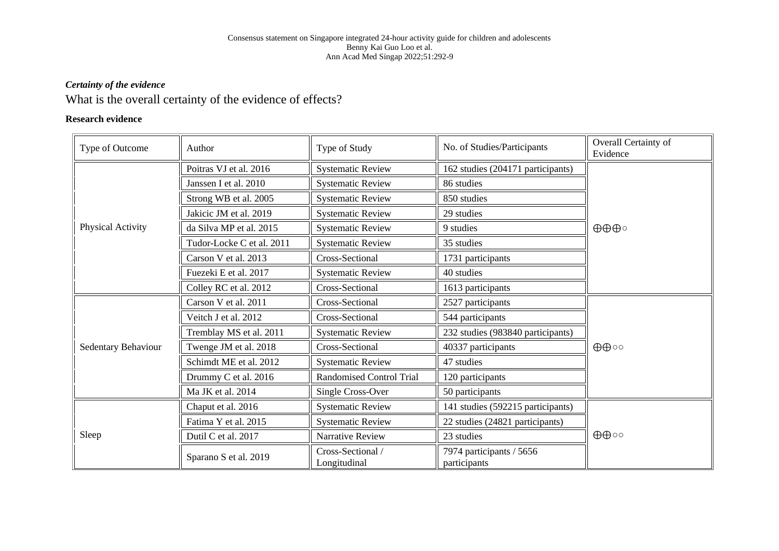## *Certainty of the evidence*

## What is the overall certainty of the evidence of effects?

## **Research evidence**

| Type of Outcome     | Author                    | Type of Study                          | No. of Studies/Participants              | Overall Certainty of<br>Evidence |  |
|---------------------|---------------------------|----------------------------------------|------------------------------------------|----------------------------------|--|
|                     | Poitras VJ et al. 2016    | <b>Systematic Review</b>               | 162 studies (204171 participants)        |                                  |  |
|                     | Janssen I et al. 2010     | <b>Systematic Review</b>               | 86 studies                               |                                  |  |
|                     | Strong WB et al. 2005     | <b>Systematic Review</b>               | 850 studies                              |                                  |  |
|                     | Jakicic JM et al. 2019    | <b>Systematic Review</b>               | 29 studies                               |                                  |  |
| Physical Activity   | da Silva MP et al. 2015   | <b>Systematic Review</b>               | 9 studies                                | $\oplus \oplus \oplus \circ$     |  |
|                     | Tudor-Locke C et al. 2011 | <b>Systematic Review</b>               | 35 studies                               |                                  |  |
|                     | Carson V et al. 2013      | Cross-Sectional<br>1731 participants   |                                          |                                  |  |
|                     | Fuezeki E et al. 2017     | <b>Systematic Review</b>               | 40 studies                               |                                  |  |
|                     | Colley RC et al. 2012     | Cross-Sectional<br>1613 participants   |                                          |                                  |  |
|                     | Carson V et al. 2011      | Cross-Sectional                        | 2527 participants                        |                                  |  |
|                     | Veitch J et al. 2012      | Cross-Sectional                        | 544 participants                         |                                  |  |
|                     | Tremblay MS et al. 2011   | <b>Systematic Review</b>               | 232 studies (983840 participants)        |                                  |  |
| Sedentary Behaviour | Twenge JM et al. 2018     | Cross-Sectional                        | 40337 participants                       |                                  |  |
|                     | Schimdt ME et al. 2012    | 47 studies<br><b>Systematic Review</b> |                                          |                                  |  |
|                     | Drummy C et al. 2016      | <b>Randomised Control Trial</b>        | 120 participants                         |                                  |  |
|                     | Ma JK et al. 2014         | Single Cross-Over                      | 50 participants                          |                                  |  |
|                     | Chaput et al. 2016        | <b>Systematic Review</b>               | 141 studies (592215 participants)        | $\oplus \oplus \circ \circ$      |  |
|                     | Fatima Y et al. 2015      | <b>Systematic Review</b>               | 22 studies (24821 participants)          |                                  |  |
| Sleep               | Dutil C et al. 2017       | Narrative Review                       | 23 studies                               |                                  |  |
|                     | Sparano S et al. 2019     | Cross-Sectional /<br>Longitudinal      | 7974 participants / 5656<br>participants |                                  |  |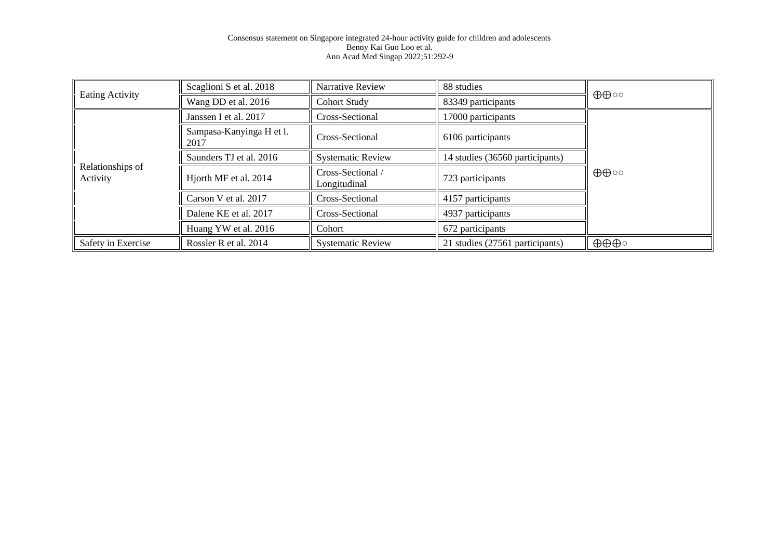|                              | Scaglioni S et al. 2018          | Narrative Review                | 88 studies                      |                              |  |
|------------------------------|----------------------------------|---------------------------------|---------------------------------|------------------------------|--|
| Eating Activity              | Wang DD et al. 2016              | <b>Cohort Study</b>             | 83349 participants              | $\oplus \oplus \circ \circ$  |  |
|                              | Janssen I et al. 2017            | Cross-Sectional                 | 17000 participants              |                              |  |
|                              | Sampasa-Kanyinga H et l.<br>2017 | Cross-Sectional                 | 6106 participants               |                              |  |
|                              | Saunders TJ et al. 2016          | <b>Systematic Review</b>        | 14 studies (36560 participants) | $\oplus \oplus \circ \circ$  |  |
| Relationships of<br>Activity | Hjorth MF et al. 2014            | Cross-Sectional<br>Longitudinal | 723 participants                |                              |  |
|                              | Carson V et al. 2017             | Cross-Sectional                 | 4157 participants               |                              |  |
|                              | Dalene KE et al. 2017            | Cross-Sectional                 | 4937 participants               |                              |  |
|                              | Huang YW et al. 2016             | Cohort                          | 672 participants                |                              |  |
| Safety in Exercise           | Rossler R et al. 2014            | <b>Systematic Review</b>        | 21 studies (27561 participants) | $\oplus \oplus \oplus \circ$ |  |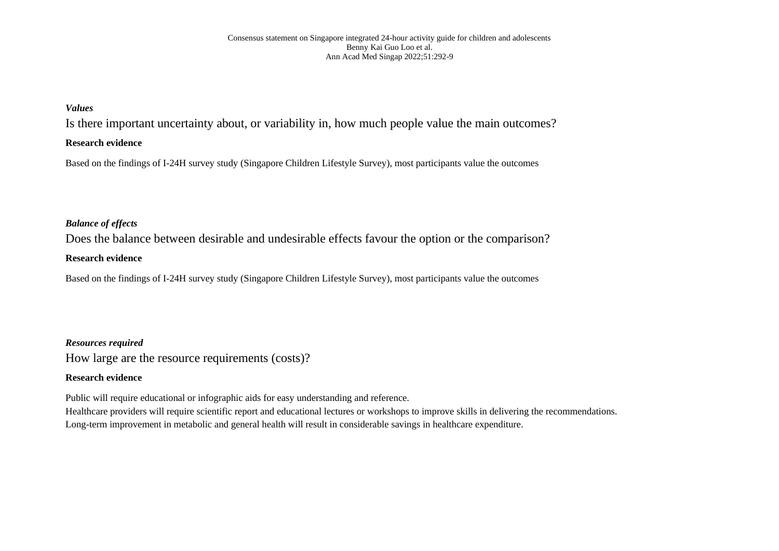## *Values*

Is there important uncertainty about, or variability in, how much people value the main outcomes?

## **Research evidence**

Based on the findings of I-24H survey study (Singapore Children Lifestyle Survey), most participants value the outcomes

## *Balance of effects*

Does the balance between desirable and undesirable effects favour the option or the comparison?

## **Research evidence**

Based on the findings of I-24H survey study (Singapore Children Lifestyle Survey), most participants value the outcomes

## *Resources required*

How large are the resource requirements (costs)?

## **Research evidence**

Public will require educational or infographic aids for easy understanding and reference.

Healthcare providers will require scientific report and educational lectures or workshops to improve skills in delivering the recommendations. Long-term improvement in metabolic and general health will result in considerable savings in healthcare expenditure.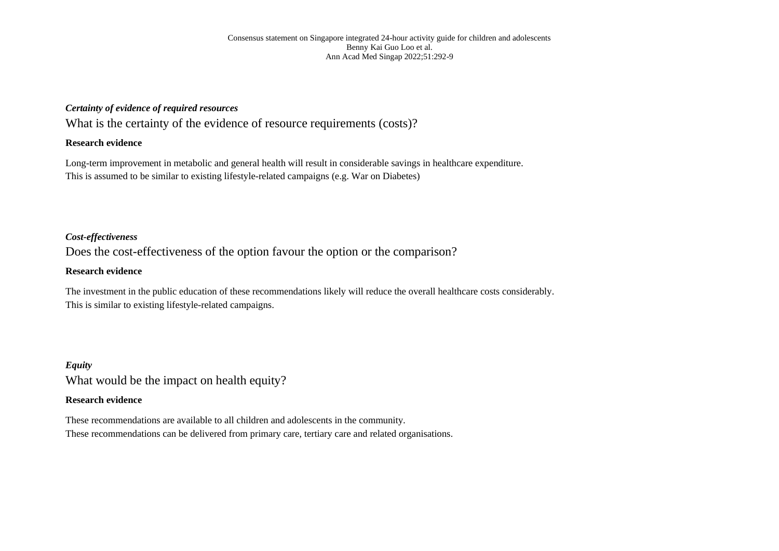## *Certainty of evidence of required resources*

What is the certainty of the evidence of resource requirements (costs)?

## **Research evidence**

Long-term improvement in metabolic and general health will result in considerable savings in healthcare expenditure. This is assumed to be similar to existing lifestyle-related campaigns (e.g. War on Diabetes)

## *Cost-effectiveness*

Does the cost-effectiveness of the option favour the option or the comparison?

### **Research evidence**

The investment in the public education of these recommendations likely will reduce the overall healthcare costs considerably. This is similar to existing lifestyle-related campaigns.

*Equity* What would be the impact on health equity?

## **Research evidence**

These recommendations are available to all children and adolescents in the community. These recommendations can be delivered from primary care, tertiary care and related organisations.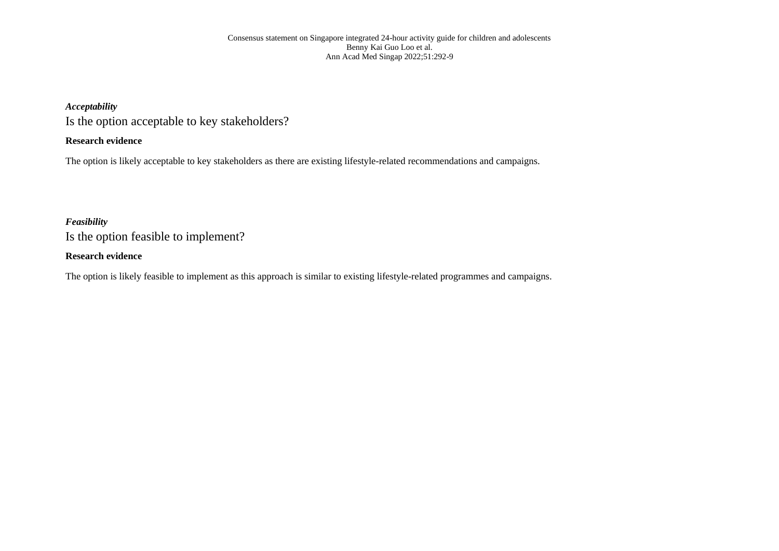## *Acceptability*

Is the option acceptable to key stakeholders?

## **Research evidence**

The option is likely acceptable to key stakeholders as there are existing lifestyle-related recommendations and campaigns.

## *Feasibility*

Is the option feasible to implement?

## **Research evidence**

The option is likely feasible to implement as this approach is similar to existing lifestyle-related programmes and campaigns.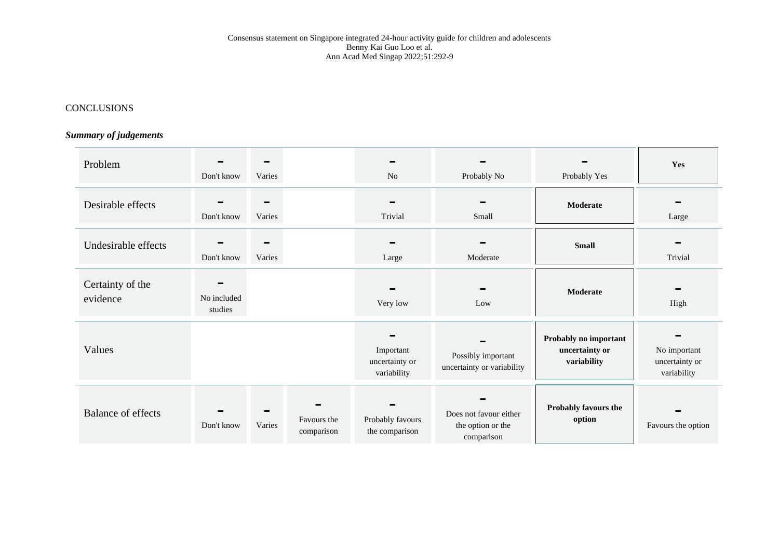## **CONCLUSIONS**

## *Summary of judgements*

| Problem                      | Don't know             | $\equiv$<br>Varies |                           | N <sub>o</sub>                             | Probably No                                               | Probably Yes                                           | Yes                                           |
|------------------------------|------------------------|--------------------|---------------------------|--------------------------------------------|-----------------------------------------------------------|--------------------------------------------------------|-----------------------------------------------|
| Desirable effects            | Don't know             | $\equiv$<br>Varies |                           | Trivial                                    | Small                                                     | Moderate                                               | Large                                         |
| Undesirable effects          | Don't know             | Varies             |                           | Large                                      | Moderate                                                  | <b>Small</b>                                           | Trivial                                       |
| Certainty of the<br>evidence | No included<br>studies |                    |                           | Very low                                   | Low                                                       | Moderate                                               | High                                          |
| Values                       |                        |                    |                           | Important<br>uncertainty or<br>variability | Possibly important<br>uncertainty or variability          | Probably no important<br>uncertainty or<br>variability | No important<br>uncertainty or<br>variability |
| <b>Balance of effects</b>    | Don't know             | Varies             | Favours the<br>comparison | Probably favours<br>the comparison         | Does not favour either<br>the option or the<br>comparison | Probably favours the<br>option                         | $\sim$<br>Favours the option                  |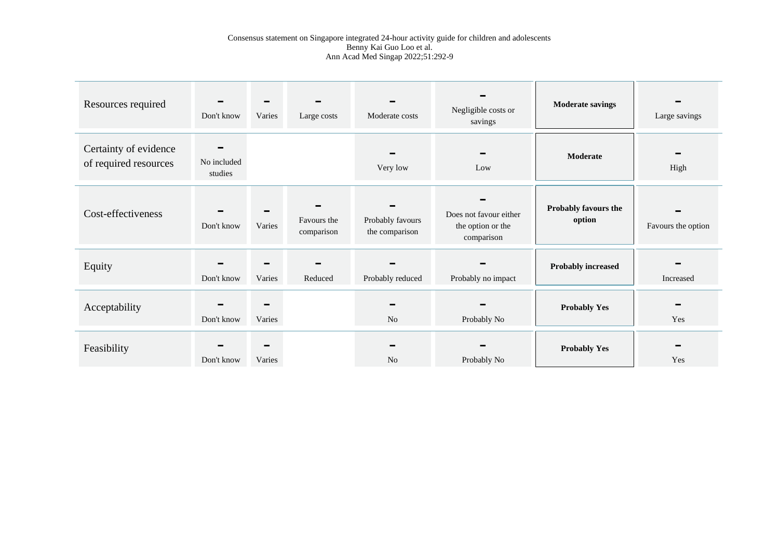| Resources required                             | Don't know             | Varies      | Large costs               | Moderate costs                     | Negligible costs or<br>savings                            | <b>Moderate savings</b>        | Large savings      |
|------------------------------------------------|------------------------|-------------|---------------------------|------------------------------------|-----------------------------------------------------------|--------------------------------|--------------------|
| Certainty of evidence<br>of required resources | No included<br>studies |             |                           | Very low                           | Low                                                       | Moderate                       | High               |
| Cost-effectiveness                             | Don't know             | Varies      | Favours the<br>comparison | Probably favours<br>the comparison | Does not favour either<br>the option or the<br>comparison | Probably favours the<br>option | Favours the option |
| Equity                                         | Don't know             | Varies      | Reduced                   | Probably reduced                   | Probably no impact                                        | <b>Probably increased</b>      | Increased          |
| Acceptability                                  | Don't know             | Varies      |                           | No                                 | Probably No                                               | <b>Probably Yes</b>            | Yes                |
| Feasibility                                    | Don't know             | -<br>Varies |                           | N <sub>0</sub>                     | Probably No                                               | <b>Probably Yes</b>            | Yes                |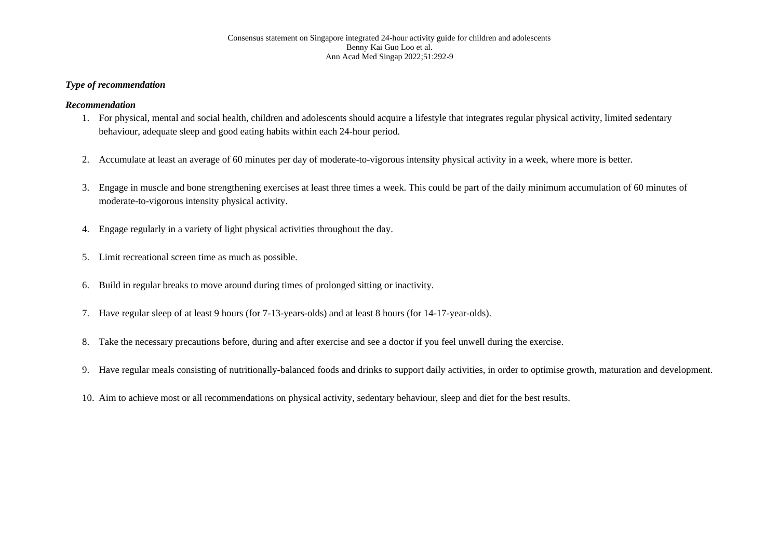## *Type of recommendation*

## *Recommendation*

- 1. For physical, mental and social health, children and adolescents should acquire a lifestyle that integrates regular physical activity, limited sedentary behaviour, adequate sleep and good eating habits within each 24-hour period.
- 2. Accumulate at least an average of 60 minutes per day of moderate-to-vigorous intensity physical activity in a week, where more is better.
- 3. Engage in muscle and bone strengthening exercises at least three times a week. This could be part of the daily minimum accumulation of 60 minutes of moderate-to-vigorous intensity physical activity.
- 4. Engage regularly in a variety of light physical activities throughout the day.
- 5. Limit recreational screen time as much as possible.
- 6. Build in regular breaks to move around during times of prolonged sitting or inactivity.
- 7. Have regular sleep of at least 9 hours (for 7-13-years-olds) and at least 8 hours (for 14-17-year-olds).
- 8. Take the necessary precautions before, during and after exercise and see a doctor if you feel unwell during the exercise.
- 9. Have regular meals consisting of nutritionally-balanced foods and drinks to support daily activities, in order to optimise growth, maturation and development.
- 10. Aim to achieve most or all recommendations on physical activity, sedentary behaviour, sleep and diet for the best results.